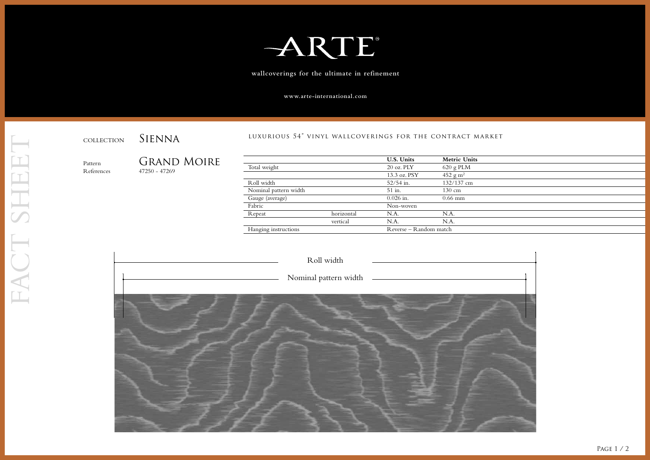

**wallcoverings for the ultimate in refinement**

**www.arte-international.com**

luxurious 54" vinyl wallcoverings for the contract market

| 50 - 47269 |  |
|------------|--|
|            |  |

| Pattern<br>References |  | Grand Moire<br>$47250 - 47269$ |                      |            | <b>U.S. Units</b>      | <b>Metric Units</b>         |
|-----------------------|--|--------------------------------|----------------------|------------|------------------------|-----------------------------|
|                       |  |                                | Total weight         |            | $20$ oz. $PLY$         | $620$ g PLM                 |
|                       |  |                                |                      |            | 13.3 oz. PSY           | $452 \text{ g} \text{ m}^2$ |
|                       |  |                                | Roll width           |            | $52/54$ in.            | 132/137 cm                  |
|                       |  | Nominal pattern width          |                      | 51 in.     | 130 cm                 |                             |
|                       |  |                                | Gauge (average)      |            | $0.026$ in.            | $0.66$ mm                   |
|                       |  | Fabric                         |                      | Non-woven  |                        |                             |
|                       |  |                                | Repeat               | horizontal | N.A.                   | N.A.                        |
|                       |  |                                |                      | vertical   | N.A.                   | N.A                         |
|                       |  |                                | Hanging instructions |            | Reverse – Random match |                             |
|                       |  |                                |                      |            |                        |                             |